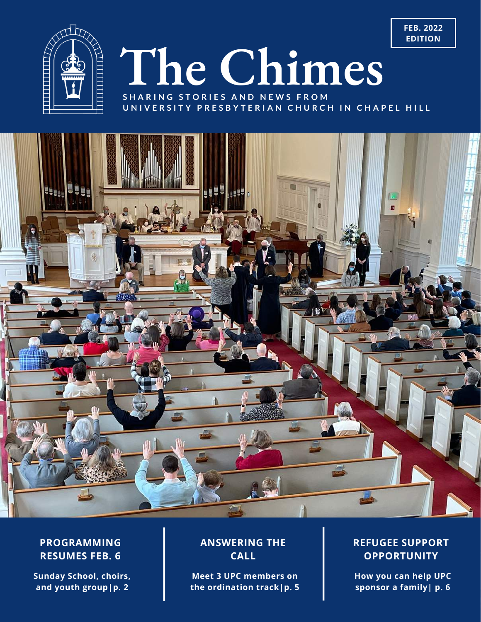

# **The Chimes**

**S H A R I N G S T O R I E S A N D N E W S F R O M** UNIVERSITY PRESBYTERIAN CHURCH IN CHAPEL HILL



#### **PROGRAMMING RESUMES FEB. 6**

**Sunday School, choirs, and youth group|p. 2**

#### **ANSWERING THE CALL**

**Meet 3 UPC members on the ordination track|p. 5**

#### **REFUGEE SUPPORT OPPORTUNITY**

**How you can help UPC sponsor a family| p. 6**

**FEB. 2022 EDITION**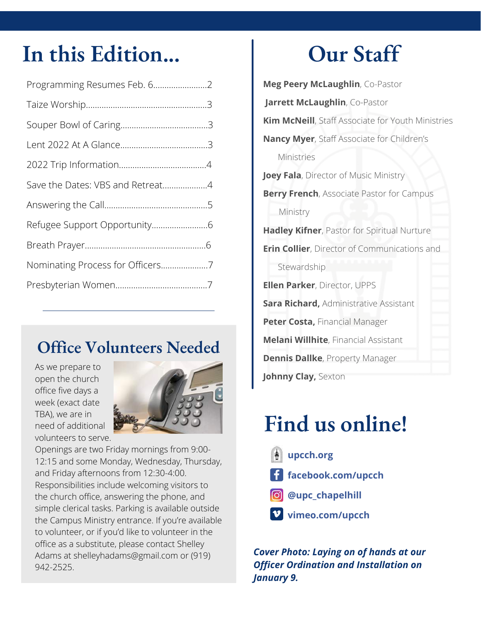### **In this Edition... Our Staff**

| Programming Resumes Feb. 62      |  |
|----------------------------------|--|
|                                  |  |
|                                  |  |
|                                  |  |
|                                  |  |
| Save the Dates: VBS and Retreat4 |  |
|                                  |  |
|                                  |  |
|                                  |  |
| Nominating Process for Officers7 |  |
|                                  |  |
|                                  |  |

### **Office Volunteers Needed**

As we prepare to open the church office five days a week (exact date TBA), we are in need of additional volunteers to serve.



Openings are two Friday mornings from 9:00- 12:15 and some Monday, Wednesday, Thursday, and Friday afternoons from 12:30-4:00. Responsibilities include welcoming visitors to the church office, answering the phone, and simple clerical tasks. Parking is available outside the Campus Ministry entrance. If you're available to volunteer, or if you'd like to volunteer in the office as a substitute, please contact Shelley Adams at [shelleyhadams@gmail.com](mailto:shelleyhadams@gmail.com) or (919) 942-2525.

**Meg Peery McLaughlin**, Co-Pastor **Jarrett McLaughlin**, Co-Pastor **Kim McNeill**, Staff Associate for Youth Ministries **Nancy Myer**, Staff Associate for Children's Ministries **Joey Fala**, Director of Music Ministry **Berry French**, Associate Pastor for Campus Ministry **Hadley Kifner**, Pastor for Spiritual Nurture **Erin Collier**, Director of Communications and **Stewardship Ellen Parker**, Director, UPPS **Sara Richard,** Administrative Assistant **Peter Costa,** Financial Manager **Melani Willhite**, Financial Assistant **Dennis Dallke**, Property Manager **Johnny Clay,** Sexton

### **Find us online!**

- **[upcch.org](http://upcch.org/)**
- **[facebook.com/upcch](http://facebook.com/upcch)**
- **[@upc\\_chapelhill](http://instagram.com/upc_chapelhill)**
- **[vimeo.com/upcch](http://vimeo.com/upcch)**

*Cover Photo: Laying on of hands at our Officer Ordination and Installation on January 9.*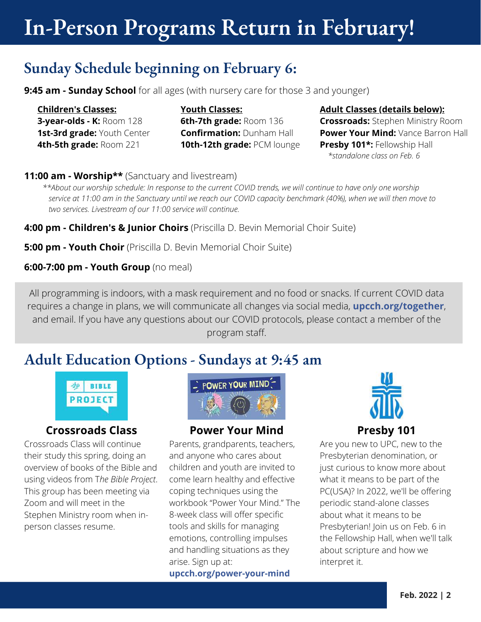### **In-Person Programs Return in February!**

#### **Sunday Schedule beginning on February 6:**

**9:45 am - Sunday School** for all ages (with nursery care for those 3 and younger)

**Children's Classes: 3-year-olds - K:** Room 128 **1st-3rd grade:** Youth Center **4th-5th grade:** Room 221

**Youth Classes: 6th-7th grade:** Room 136 **Confirmation:** Dunham Hall **10th-12th grade:** PCM lounge

#### **Adult Classes (details below):**

**Crossroads:** Stephen Ministry Room **Power Your Mind:** Vance Barron Hall **Presby 101\*:** Fellowship Hall *\*standalone class on Feb. 6*

**11:00 am - Worship\*\*** (Sanctuary and livestream)

\*\*About our worship schedule: In response to the current COVID trends, we will continue to have only one worship service at 11:00 am in the Sanctuary until we reach our COVID capacity benchmark (40%), when we will then move to *two services. Livestream of our 11:00 service will continue.*

**4:00 pm - Children's & Junior Choirs** (Priscilla D. Bevin Memorial Choir Suite)

**5:00 pm - Youth Choir** (Priscilla D. Bevin Memorial Choir Suite)

**6:00-7:00 pm - Youth Group** (no meal)

All programming is indoors, with a mask requirement and no food or snacks. If current COVID data requires a change in plans, we will communicate all changes via social media, **[upcch.org/together](https://upcch.org/together)**, and email. If you have any questions about our COVID protocols, please contact a member of the program staff.

#### **Adult Education Options - Sundays at 9:45 am**



#### **Crossroads Class**

Crossroads Class will continue their study this spring, doing an overview of books of the Bible and using videos from T*he Bible Project*. This group has been meeting via Zoom and will meet in the Stephen Ministry room when inperson classes resume.



#### **Power Your Mind**

Parents, grandparents, teachers, and anyone who cares about children and youth are invited to come learn healthy and effective coping techniques using the workbook "Power Your Mind." The 8-week class will offer specific tools and skills for managing emotions, controlling impulses and handling situations as they arise. Sign up at: **[upcch.org/power-your-mind](https://upcch.org/power-your-mind)**



Are you new to UPC, new to the Presbyterian denomination, or just curious to know more about what it means to be part of the PC(USA)? In 2022, we'll be offering periodic stand-alone classes about what it means to be Presbyterian! Join us on Feb. 6 in the Fellowship Hall, when we'll talk about scripture and how we interpret it.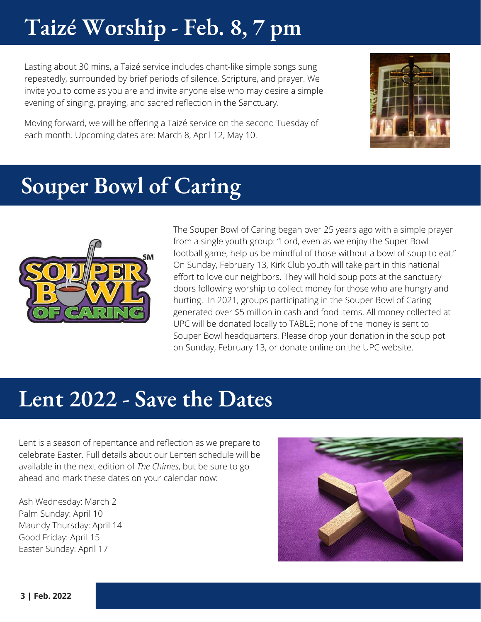### **Taizé Worship - Feb. 8, 7 pm**

Lasting about 30 mins, a Taizé service includes chant-like simple songs sung repeatedly, surrounded by brief periods of silence, Scripture, and prayer. We invite you to come as you are and invite anyone else who may desire a simple evening of singing, praying, and sacred reflection in the Sanctuary.



Moving forward, we will be offering a Taizé service on the second Tuesday of each month. Upcoming dates are: March 8, April 12, May 10.

### **Souper Bowl of Caring**



The Souper Bowl of Caring began over 25 years ago with a simple prayer from a single youth group: "Lord, even as we enjoy the Super Bowl football game, help us be mindful of those without a bowl of soup to eat." On Sunday, February 13, Kirk Club youth will take part in this national effort to love our neighbors. They will hold soup pots at the sanctuary doors following worship to collect money for those who are hungry and hurting. In 2021, groups participating in the Souper Bowl of Caring generated over \$5 million in cash and food items. All money collected at UPC will be donated locally to TABLE; none of the money is sent to Souper Bowl headquarters. Please drop your donation in the soup pot on Sunday, February 13, or donate online on the UPC website.

### **Lent 2022 - Save the Dates**

Lent is a season of repentance and reflection as we prepare to celebrate Easter. Full details about our Lenten schedule will be available in the next edition of *The Chimes*, but be sure to go ahead and mark these dates on your calendar now:

Ash Wednesday: March 2 Palm Sunday: April 10 Maundy Thursday: April 14 Good Friday: April 15 Easter Sunday: April 17

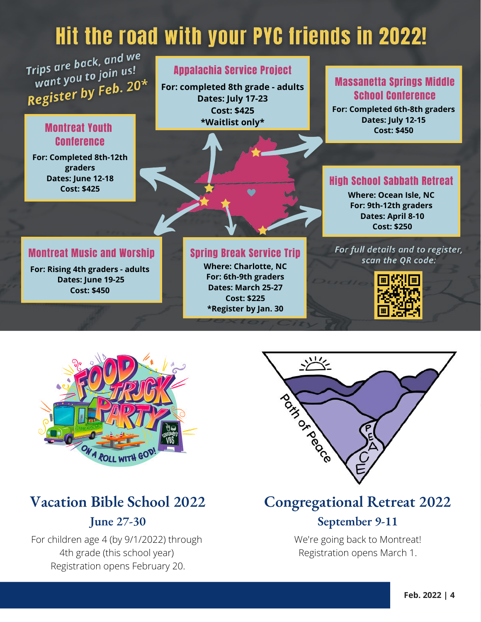### Hit the road with your PYC friends in 2022!

Trips are back, and we rips are back, and is!<br>want you to join us! want you to July 20\*

#### Montreat Youth Conference

**For: Completed 8th-12th graders Dates: June 12-18 Cost: \$425**

#### Appalachia Service Project

**For: completed 8th grade - adults Dates: July 17-23 Cost: \$425 \*Waitlist only\***

#### Massanetta Springs Middle School Conference

**For: Completed 6th-8th graders Dates: July 12-15 Cost: \$450**

#### High School Sabbath Retreat

**Where: Ocean Isle, NC For: 9th-12th graders Dates: April 8-10 Cost: \$250**

#### Montreat Music and Worship

**For: Rising 4th graders - adults Dates: June 19-25 Cost: \$450**

#### Spring Break Service Trip

**Where: Charlotte, NC For: 6th-9th graders Dates: March 25-27 Cost: \$225 \*Register by Jan. 30**



For full details and to register,



### **Vacation Bible School 2022**

#### **June 27-30**

For children age 4 (by 9/1/2022) through 4th grade (this school year) Registration opens February 20.



### **Congregational Retreat 2022**

#### **September 9-11**

We're going back to Montreat! Registration opens March 1.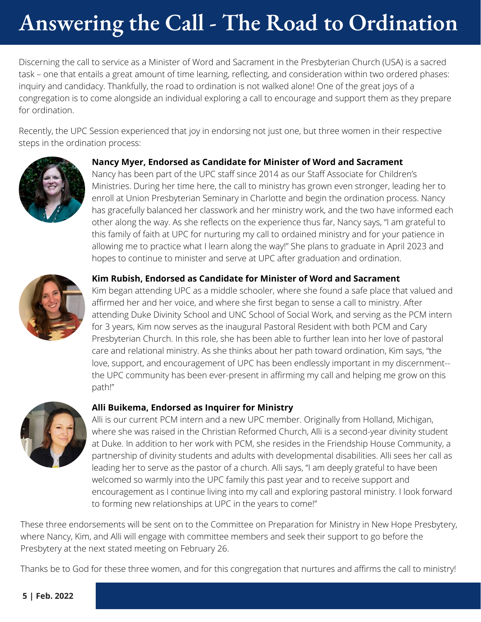## **Answering the Call - The Road to Ordination**

Discerning the call to service as a Minister of Word and Sacrament in the Presbyterian Church (USA) is a sacred task – one that entails a great amount of time learning, reflecting, and consideration within two ordered phases: inquiry and candidacy. Thankfully, the road to ordination is not walked alone! One of the great joys of a congregation is to come alongside an individual exploring a call to encourage and support them as they prepare for ordination.

Recently, the UPC Session experienced that joy in endorsing not just one, but three women in their respective steps in the ordination process:



#### **Nancy Myer, Endorsed as Candidate for Minister of Word and Sacrament**

Nancy has been part of the UPC staff since 2014 as our Staff Associate for Children's Ministries. During her time here, the call to ministry has grown even stronger, leading her to enroll at Union Presbyterian Seminary in Charlotte and begin the ordination process. Nancy has gracefully balanced her classwork and her ministry work, and the two have informed each other along the way. As she reflects on the experience thus far, Nancy says, "I am grateful to this family of faith at UPC for nurturing my call to ordained ministry and for your patience in allowing me to practice what I learn along the way!" She plans to graduate in April 2023 and hopes to continue to minister and serve at UPC after graduation and ordination.



#### **Kim Rubish, Endorsed as Candidate for Minister of Word and Sacrament**

Kim began attending UPC as a middle schooler, where she found a safe place that valued and affirmed her and her voice, and where she first began to sense a call to ministry. After attending Duke Divinity School and UNC School of Social Work, and serving as the PCM intern for 3 years, Kim now serves as the inaugural Pastoral Resident with both PCM and Cary Presbyterian Church. In this role, she has been able to further lean into her love of pastoral care and relational ministry. As she thinks about her path toward ordination, Kim says, "the love, support, and encouragement of UPC has been endlessly important in my discernment- the UPC community has been ever-present in affirming my call and helping me grow on this path!"



#### **Alli Buikema, Endorsed as Inquirer for Ministry**

Alli is our current PCM intern and a new UPC member. Originally from Holland, Michigan, where she was raised in the Christian Reformed Church, Alli is a second-year divinity student at Duke. In addition to her work with PCM, she resides in the Friendship House Community, a partnership of divinity students and adults with developmental disabilities. Alli sees her call as leading her to serve as the pastor of a church. Alli says, "I am deeply grateful to have been welcomed so warmly into the UPC family this past year and to receive support and encouragement as I continue living into my call and exploring pastoral ministry. I look forward to forming new relationships at UPC in the years to come!"

These three endorsements will be sent on to the Committee on Preparation for Ministry in New Hope Presbytery, where Nancy, Kim, and Alli will engage with committee members and seek their support to go before the Presbytery at the next stated meeting on February 26.

Thanks be to God for these three women, and for this congregation that nurtures and affirms the call to ministry!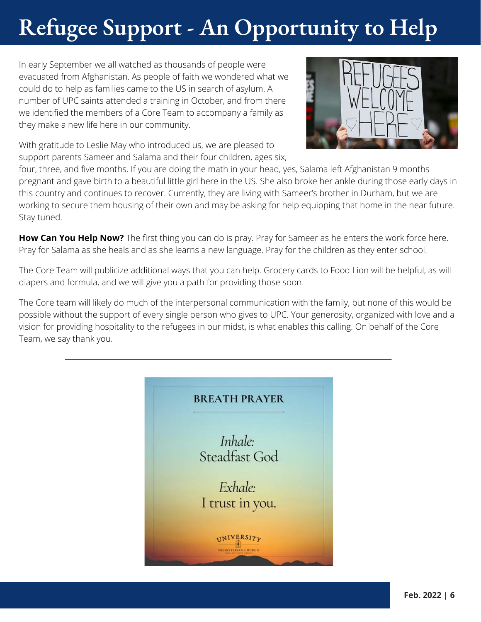## **Refugee Support - An Opportunity to Help**

In early September we all watched as thousands of people were evacuated from Afghanistan. As people of faith we wondered what we could do to help as families came to the US in search of asylum. A number of UPC saints attended a training in October, and from there we identified the members of a Core Team to accompany a family as they make a new life here in our community.

With gratitude to Leslie May who introduced us, we are pleased to support parents Sameer and Salama and their four children, ages six,



four, three, and five months. If you are doing the math in your head, yes, Salama left Afghanistan 9 months pregnant and gave birth to a beautiful little girl here in the US. She also broke her ankle during those early days in this country and continues to recover. Currently, they are living with Sameer's brother in Durham, but we are working to secure them housing of their own and may be asking for help equipping that home in the near future. Stay tuned.

**How Can You Help Now?** The first thing you can do is pray. Pray for Sameer as he enters the work force here. Pray for Salama as she heals and as she learns a new language. Pray for the children as they enter school.

The Core Team will publicize additional ways that you can help. Grocery cards to Food Lion will be helpful, as will diapers and formula, and we will give you a path for providing those soon.

The Core team will likely do much of the interpersonal communication with the family, but none of this would be possible without the support of every single person who gives to UPC. Your generosity, organized with love and a vision for providing hospitality to the refugees in our midst, is what enables this calling. On behalf of the Core Team, we say thank you.